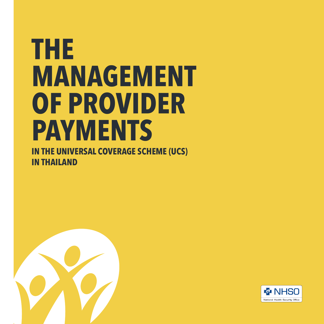## **THE MANAGEMENT OF PROVIDER PAYMENTS**

**IN THE UNIVERSAL COVERAGE SCHEME (UCS) IN THAILAND**



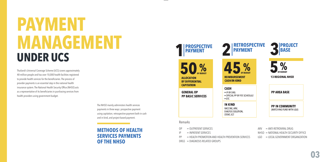# **PAYMENT MANAGEMENT UNDER UCS**

Thailand's Universal Coverage Scheme (UCS) covers approximately 48 million people and has over 10,000 health facilities registered to provide health services for the beneficiaries. The process of provider payments is an essential step in the national health insurance system. The National Health Security Office (NHSO) acts as a representative of its beneficiaries in purchasing services from health providers using government budget.

> The NHSO mainly administers health services payments in three ways: prospective payment using capitation; retrospective payment both in cash and in kind, and project-based payment.

**METHODS OF HEALTH SERVICES PAYMENTS OF THE NHSO**

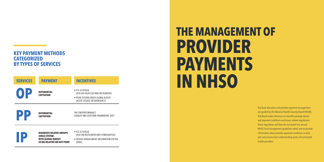### **KEY PAYMENT METHODS CATEGORIZED BY TYPES OF SERVICES**

| <b>SERVICES</b> | <b>PAYMENT</b>                                   | <b>INCENTIVES</b>                                                  |  |  |  |  |  |  |
|-----------------|--------------------------------------------------|--------------------------------------------------------------------|--|--|--|--|--|--|
| OI              | <b>DIFFERENTIAL</b>                              | • FEE SCHEDULE<br>(ADD-ON HIGH COST AND INSTRUMENT)                |  |  |  |  |  |  |
|                 | <b>CAPITATION</b>                                | • POINT SYSTEM UNDER GLOBAL BUDGET<br>(ACUTE DISEASE OR EMERGENCY) |  |  |  |  |  |  |
| UN              | <b>DIFFERENTIAL</b><br><b>CAPITATION</b>         | PAY FOR PERFORMANCE<br>(QUALITY AND OUTCOME FRAMEWORK; QOF)        |  |  |  |  |  |  |
|                 | <b>DIAGNOSIS RELATED GROUPS</b><br>(DRGS) SYSTEM | • FEE SCHEDULE<br>(ADD ON INSTRUMENT AND HEMODIALYSIS)             |  |  |  |  |  |  |

**WITH GLOBAL BUDGET** 

## **THE MANAGEMENT OF PROVIDER PAYMENTS IN NHSO**

The fund allocation and provider payment management are guided by the National Health Security Board (NHSB). The Board makes decisions on benefits package details and payment conditions and issues related regulations. These regulations will then be translated into annual NHSO fund management guidelines which aim to provide information about provider payment conditions in each year and ensure clear understanding across all contracted health providers.

. DISEASE MANAGEMENT INFORMATION SYSTEM **USING RELATIVE WEIGHT POINT** (DMIS)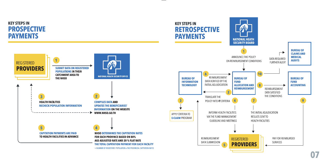### **KEY STEPS IN PROSPECTIVE PAYMENTS**



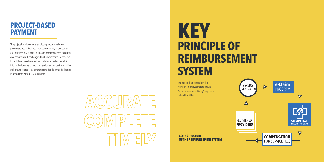### **PROJECT-BASED PAYMENT**

The project-based payment is a block-grant or installment payment to health facilities, local governments, or civil society organizations (CSOs) for some health programs aimed to address area-specific health challenges. Local governments are required to contribute based on specified contribution rates. The NHSO informs budget size for each area and delegates decision-making authority to related local committees to decide on fund allocation in accordance with NHSO regulations.



## **PRINCIPLE OF REIMBURSEMENT SYSTEM KEY**

The key guiding principle of the reimbursement system is to ensure "accurate, complete, timely" payments to health facilities.

**CORE STRUCTURE** 

**OF THE REIMBURSEMENT SYSTEM**

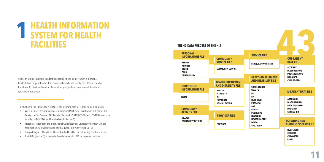### **HEALTH INFORMATION SYSTEM FOR HEALTH FACILITIES 1**

All health facilities submit a standard data set called 'the 43 files' which is individual health data of the people who utilize services at each health facility. The UCS uses the data from these 43 files for estimation of annual budgets, and also uses some of the data for service reimbursement.

In addition to the 43 files, the NHSO uses the following data for reimbursement purposes.

- WHO medical classification codes 'International Statistical Classification of Diseases and Related Health Problems 10<sup>th</sup> Revision Version for 2010' (ICD-10) and ICD-10TM (only codes included in Thai DRGs and Relative Weight Version 5)
- Procedural codes from 'the International Classification of Diseases 9<sup>th</sup> Revision Clinical Modification 2010 Classification of Procedures' (ICD-9CM version 2010)
- Drug catalogues of health facilities submitted to NHSO for calculating reimbursements
- Thai DRGs (version 5) to calculate the relative weight (RW) for in-patient services

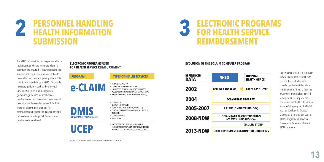### **PERSONNEL HANDLING HEALTH INFORMATION SUBMISSION 2**

The NHSO holds training for the personnel from health facilities who are responsible for data submission to ensure that they understand the structure and required components of health information and can appropriately handle data submission. In addition, the NHSO has provided necessary guidelines such as the Universal Coverage Scheme's fund management guidelines, guidelines for health service reimbursement, and the e-claim user's manual to support the data senders at health facilities. There are also multiple channels for communication between the data senders and the receivers, including a Call Center phone number and a web board.

### **ELECTRONIC PROGRAMS USED FOR HEALTH SERVICE REIMBURSEMENT**

### **PROGRAM**

e-CLA

**DMIS AND OTHER SPECIFIC DISEA** 



|     | • IN-PATIENT SERVICE (IP)<br>• OUT-PATIENT REFER CASES (OP REFER)<br>• HIGH-COST OUT-PATIENT SERVICES (OP HIGH COST)<br>• ACCIDENT & EMERGENCY OUT-PATIENT SERVICES (OPAE)<br>· SPECIFIC SERVICES (CENTRAL REIMBURSEMENT: CR) |
|-----|-------------------------------------------------------------------------------------------------------------------------------------------------------------------------------------------------------------------------------|
| SES | • HEMOPHILIA<br>$\bullet$ CLEET LIP & CLEET PALATE<br>· RENAL REPLACEMENT THERAPY (HD, CAPD, KT)<br>• CHRONIC OBSTRUCTIVE PULMONARY DISEASE (COPD)<br>• TB, HIV/AIDS<br>• DOWN SYNDROME<br>• THALASSEMIA                      |
|     | • CASES OF PATIENTS WITH EMERGENCY CRISIS<br>CASES OF ACCIDENTS AND EMERGENCIES AS SPECIFIED                                                                                                                                  |

IN ARTICLE 7 OF THE NATIONAL HEALTH SECURITY ACT

**TYPES OF HEALTH SERVICES** 

Source: Guidelines for health service reimbursement, Fiscal Year 2019



#### **EVOLUTION OF THE E-CLAIM COMPUTER PROGRAM**

| <b>REFERENCED</b><br>DATA | <b>NHSO</b>                                                          | <b>HOSPITAL</b><br><b>HEALTH OFFICE</b> |  |  |  |  |  |  |
|---------------------------|----------------------------------------------------------------------|-----------------------------------------|--|--|--|--|--|--|
| 2002                      | <b>OFFLINE PROGRAME</b>                                              | <b>PAPER BASE; HC/AE</b>                |  |  |  |  |  |  |
| 2004                      | <b>E-CLAIM IN 40 PILOT SITES</b>                                     |                                         |  |  |  |  |  |  |
| 2005-2007                 | <b>E-CLAIM (E-MAIL TECHNOLOGY)</b>                                   |                                         |  |  |  |  |  |  |
| <b>2008-NOW</b>           | <b>E-CLAIM (WEB BASED TECHNOLOGY)</b><br>WEB SERVICES AUTHENTICATION |                                         |  |  |  |  |  |  |
|                           | <b>SEAMLESS SYSTEM</b>                                               |                                         |  |  |  |  |  |  |
| <b>2013-NOW</b>           | <b>LOCAL GOVERNMENT ORGANIZATION(LGO) CLAIMS</b>                     |                                         |  |  |  |  |  |  |

The e-Claim program is a computer software package to record health services that health facilities provided, and submit the data for reimbursement. The data from the e-Claim program is also analyzed to help the NHSO improve the performance of the UCS. In addition to the e-Claim program, the NHSO has also developed a Disease Management Information System (DMIS) program and Universal Coverage for Emergency Patients (UCEP) program.

**13**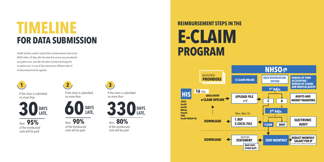## **TIMELINE FOR DATA SUBMISSION**

Health facilities need to submit their reimbursement data to the NHSO within 30 days after the date that service was provided for out-patient care, and after the date of patient discharge for in-patient care. In case of late submission, different rates of reimbursement will be applied.



If the claim is submitted no more than



then **95%** of the reimbursed costs will be paid



If the claim is submitted no more than



then **90%** of the reimbursed costs will be paid



If the claim is submitted no more than



then **80%** of the reimbursed costs will be paid

### **E-CLAIM PROGRAM REIMBURSEMENT STEPS IN THE**

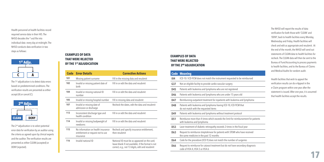Health personnel at health facilities record required service data in their HIS. The NHSO decodes the \* ecd file into individual data every day at midnight. The NHSO conducts data verification in two steps as follows:



The 1<sup>st</sup> adjudication is to detect data errors based on predetermined conditions. The verification results are presented as either accept (A) or cancel (C).



The 2<sup>nd</sup> adjudication is to select potential error data for verification by an auditor using the criteria as agreed upon by clinical experts and the auditor. The verification results are presented as either CLEAN (accepted) or DENY (rejected).

#### **EXAMPLES OF DATA THAT WERE REJECTED BY THE 1<sup>ST</sup> ADJUDICATION**

| <b>Code</b> | <b>Error Details</b>                                                                 | <b>Corrective Actions</b>                                                                                                                             |
|-------------|--------------------------------------------------------------------------------------|-------------------------------------------------------------------------------------------------------------------------------------------------------|
| 101         | Missing patient surname                                                              | Fill in the missing data and resubmit                                                                                                                 |
| 102         | Invalid or missing patient date of<br>birth                                          | Fill in or edit the data and resubmit                                                                                                                 |
| 104         | Invalid or missing national ID<br>number                                             | Fill in or edit the data and resubmit                                                                                                                 |
| 105         | Invalid or missing hospital number                                                   | Fill in missing data and resubmit                                                                                                                     |
| 107         | Invalid or missing date of<br>admission or discharge                                 | Recheck the dates, edit the data and resubmit                                                                                                         |
| 113         | Inconsistent discharge type and<br>health condition                                  | Fill in or edit the data and resubmit                                                                                                                 |
| 114         | Invalid or missing bodyweight of<br>newborns                                         | Fill in or edit the data and resubmit                                                                                                                 |
| 115         | No information on health insurance<br>entitlement or request not to use<br>insurance | Recheck and specify insurance entitlement,<br>then resubmit                                                                                           |
| 116         | Invalid national ID                                                                  | National ID must be as appeared on the card;<br>leave blank if not available; if the format is not<br>correct, e.g., not 13 digits, edit and resubmit |

#### **EXAMPLES OF DATA THAT WERE REJECTED BY THE 2ND ADJUDICATION**

#### **Code Meaning**

| 104 | ICD-10 / ICD-9CM does not match the instrument requested to be reimbursed                                |
|-----|----------------------------------------------------------------------------------------------------------|
| G37 | Not an eligible facility to provide cardio-vascular surgery                                              |
| D45 | Patients with leukemia and lymphoma who are not registered                                               |
| D46 | Patients with leukemia and lymphoma who are under 15 years old                                           |
| D47 | Reimbursing outpatient treatment for inpatients with leukemia and lymphoma                               |
| D48 | Patients with leukemia and lymphoma having ICD-10, ICD-9CM that<br>do not match with the requested items |
|     |                                                                                                          |

- **D49** Patients with leukemia and lymphoma without treatment protocol
- **D51** Reimburse more than 4 times which exceeds the limit for reimbursement for patients with leukemia and lymphoma
- **D53** Laser treatment of diabetic retinopathy exceeds 2 times in the fiscal year
- **D63** Request to reimburse streptokinase for patients with STEMI who have received the same medicine in the past 12 months
- **D64** Code for the procedure (ICD-9) does not match the number of surgeries
- **D66** Request to reimburse for cataract treatment but do not have secondary diagnosis code of H54.4, H54.5 or H54.6

The NHSO will report the results of data verification for both those with 'CLEAN' and 'DENY', back to health facilities every Monday, Wednesday and Friday. Health facilities will check and edit as appropriate and resubmit. At the end of the month, the NHSO will send out statements of CLEAN data to health facilities for recheck. The CLEAN data will then be sent to the Bureau of Fund Accounting to process payments to health facilities, and to the Bureau of Claims and Medical Audits for random audit.

Health facilities that wish to appeal the verification results can do e-Appeal in the e-Claim program within one year after the statement is issued. After one year, it is assumed that health facilities accept the results.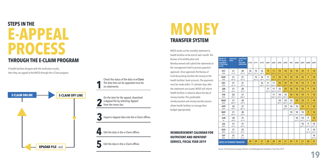### **E-APPEAL STEPS IN THE THROUGH THE E-CLAIM PROGRAM PROCESS**

If health facilities disagree with the verification results, then they can appeal to the NHSO through the e-Claim program.



Check the status of the data in **e-Claim**. The data that can be appealed must be on statements. **1**

On the item for the appeal, download e-Appeal file by selecting 'Appeal' from the menu bar. **2**

Import e-Appeal data into the e-Claim offline. **3**

Edit the data in the e-Claim offline. **4**

Edit the data in the e-Claim offline. **5**

### **MONEY TRANSFER SYSTEM**

NHSO sends out the monthly statement to health facilities at the end of each month. The Bureau of Fund Allocation and Reimbursement will submit the statements to the management level to process payment approvals. Once approved, the Bureau of Fund Accounting transfers the money to the health facilities' bank accounts. The payments must be made within 15 calendar days after the statements are issued. NHSO will inform health facilities in advance about the day of money transfer. This predictable reimbursement and money transfer process allows health facilities to manage their budget appropriately.

**REIMBURSEMENT CALENDAR FOR OUTPATIENT AND INPATIENT SERVICE, FISCAL YEAR 2019** 

| Month (of<br><b>OP service</b><br>provided)/<br>of discharge<br>for IP) | <b>Statement</b><br>dates | <b>Cutoff date</b><br>for on<br>time data<br>submission | 6110                | 6111                | 6112                | 6201                    | 6202                | 6203                | 6204                | 205                 | 6206                | 6207                    | 6208                   | 6209                |
|-------------------------------------------------------------------------|---------------------------|---------------------------------------------------------|---------------------|---------------------|---------------------|-------------------------|---------------------|---------------------|---------------------|---------------------|---------------------|-------------------------|------------------------|---------------------|
| 0CT<br>2018                                                             | 31<br>OCT <sub>18</sub>   | 30<br><b>NOV 18</b>                                     | 16<br><b>NOV18</b>  | 15<br><b>DEC 18</b> | 16<br><b>JAN 19</b> | 11<br><b>FEB 19</b>     | 11<br><b>MAR19</b>  | 10<br><b>APR 19</b> | 10<br>พ.ศ.62        | 10<br><b>JUN 19</b> | 10<br><b>JUL19</b>  | 10<br><b>AUG 19</b>     | 9<br><b>SEP 19</b>     | 10<br><b>OCT 19</b> |
| <b>NOV</b><br>2018                                                      | 31<br><b>NOV18</b>        | 31<br><b>DEC 18</b>                                     |                     | 15<br><b>DEC 18</b> | 16<br><b>JAN 19</b> | 11<br>FEB <sub>19</sub> | 11<br><b>MAR19</b>  | 10<br><b>APR 19</b> | 10<br><b>MAY 19</b> | 10<br><b>JUN 19</b> | 10<br><b>JUL19</b>  | 10<br><b>AUG 19</b>     | 9<br><b>SEP 19</b>     | 10<br><b>OCT 19</b> |
| <b>DEC</b><br>2018                                                      | 31<br><b>DFC 18</b>       | 31<br><b>JAN 19</b>                                     |                     |                     | 16<br><b>JAN 19</b> | 11<br><b>FFB 19</b>     | 11<br><b>MAR 19</b> | 10<br><b>APR 19</b> | 10<br><b>MAY 19</b> | 10<br><b>JUN 19</b> | 10<br><b>JUL 19</b> | 10<br><b>AUG 19</b>     | 9<br><b>SFP 19</b>     | 10<br><b>OCT 19</b> |
| JAN<br>2019                                                             | 31<br><b>JAN 19</b>       | 28<br><b>FFB 19</b>                                     |                     |                     |                     | 11<br><b>FFB 19</b>     | 11<br><b>MAR 19</b> | 10<br><b>APR 19</b> | 10<br><b>MAY 19</b> | 10<br><b>JUN 19</b> | 10<br><b>JUL19</b>  | 10<br><b>AUG 19</b>     | 9<br><b>SFP 19</b>     | 10<br><b>OCT 19</b> |
| <b>FEB</b><br>2019                                                      | 28<br>FEB <sub>19</sub>   | 31<br><b>MAR 19</b>                                     |                     |                     |                     |                         | 11<br><b>MAR 19</b> | 10<br><b>APR 19</b> | 10<br><b>MAY 19</b> | 10<br><b>JUN 19</b> | 10<br><b>JUL19</b>  | 10<br><b>AUG 19</b>     | 9<br><b>SEP 19</b>     | 10<br><b>OCT 19</b> |
| <b>MAR</b><br>2019                                                      | 31<br><b>MAR 19</b>       | 30<br><b>APR 19</b>                                     |                     |                     |                     |                         |                     | 10<br><b>APR 19</b> | 10<br><b>MAY 19</b> | 10<br><b>JUN 19</b> | 10<br><b>JUL19</b>  | 10<br><b>AUG 19</b>     | 9<br><b>SEP 19</b>     | 10<br><b>OCT 19</b> |
| <b>APR</b><br>2019                                                      | 30<br><b>APR 19</b>       | 31<br><b>MAY 19</b>                                     |                     |                     |                     |                         |                     |                     | 10<br><b>MAY 19</b> | 10<br><b>JUN 19</b> | 10<br><b>JUL19</b>  | 10<br><b>AUG 19</b>     | 9<br><b>SEP 19</b>     | 10<br><b>OCT 19</b> |
| <b>MAY</b><br>2019                                                      | 31<br><b>MAY 19</b>       | 30<br><b>JUN 19</b>                                     |                     |                     |                     |                         |                     |                     |                     | 10<br><b>JUN 19</b> | 10<br><b>JUL19</b>  | 10<br><b>AUG 19</b>     | 9<br><b>SFP 19</b>     | 10<br><b>OCT 19</b> |
| <b>JUN</b><br>62                                                        | 30<br><b>JUN 19</b>       | 31<br><b>JUL19</b>                                      |                     |                     |                     |                         |                     |                     |                     |                     | 10<br><b>JUL19</b>  | 10<br>AUG <sub>19</sub> | 9<br>SEP <sub>19</sub> | 10<br><b>OCT 19</b> |
| JUL<br>2019                                                             | 31<br><b>JUL19</b>        | 31<br><b>AUG 19</b>                                     |                     |                     |                     |                         |                     |                     |                     |                     |                     | 10<br>AUG <sub>19</sub> | 9<br>SFP <sub>19</sub> | 10<br><b>OCT 19</b> |
| <b>AUG</b><br>2019                                                      | 31<br>AUG <sub>19</sub>   | 25<br><b>SEP 19</b>                                     |                     |                     |                     |                         |                     |                     |                     |                     |                     |                         | 9<br><b>SEP 19</b>     | 10<br><b>OCT 19</b> |
| <b>SEP</b><br>2019                                                      | 25<br><b>SEP 19</b>       | 31<br><b>OCT 19</b>                                     |                     |                     |                     |                         |                     |                     |                     |                     |                     |                         |                        | 10<br><b>OCT 19</b> |
| <b>DATES OF PAYMENT TRANSFER</b>                                        |                           | 30<br><b>NOV18</b>                                      | 29<br><b>DEC 18</b> | 31<br><b>JAN 19</b> | 28<br><b>FEB 19</b> | 30<br><b>MAR19</b>      | 30<br><b>APR 19</b> | 31<br><b>MAY 19</b> | 29<br><b>JUN 19</b> | 31<br><b>JUL19</b>  | 31<br><b>AUG 19</b> | 28<br><b>SEP 19</b>     | 31<br><b>OCT 19</b>    |                     |

Source: The Universal Coverage Scheme's Fund Management Guidelines, Fiscal Year 2019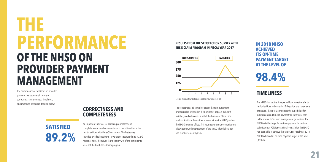## **THE PERFORMANCE OF THE NHSO ON PROVIDER PAYMENT MANAGEMENT**

The performance of the NHSO on provider payment management in terms of correctness, completeness, timeliness, and improved access are detailed below.

### **CORRECTNESS AND COMPLETENESS**



An important indicator for assessing correctness and completeness of reimbursement data is the satisfaction of the health facilities with the e-Claim system. The first survey included 848 facilities from 1,092 target sites (yielding a 77.6% response rate). The survey found that 89.2% of the participants were satisfied with the e-Claim program.

#### **RESULTS FROM THE SATISFACTION SURVEY WITH THE E-CLAIM PROGRAM IN FISCAL YEAR 2017**



Source: Bureau of Fund Allocation and Reimbursement, NHSO

The correctness and completeness of the reimbursement process is also reflected in the number of appeals by health facilities, medical records audit of the Bureau of Claims and Medical Audits, or from other bureaus within the NHSO, such as the NHSO regional offices. This routine performance monitoring allows continued improvement of the NHSO's fund allocation and reimbursement system.

### **IN 2018 NHSO ACHIEVED ITS ON-TIME PAYMENT TARGET AT THE LEVEL OF**

**98.4%** 

### **TIMELINESS**

The NHSO has set the time period for money transfer to health facilities to be within 15 days after the statements are issued. The NHSO announces the cut-off date for submissions and time of payment for each fiscal year in the annual UCS's fund management guidelines. The NHSO sets the target for on-time payment for on-time submission at 90% for each fiscal year. So far, the NHSO has been able to achieve this target. For Fiscal Year 2018, NHSO achieved its on-time payment target at the level of 98.4%.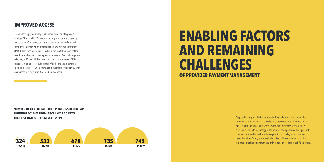### **IMPROVED ACCESS**

The capitation payment may cause under-provision of high-cost services. Thus, the NHSO separates out high-cost care, and pays by a fee schedule. One concrete example is the access to implants and intrauterine devices which are long-acting reversible contraception (LARC). LARC was previously included in the capitation payment for health promotion and disease prevention service. Despite being more effective, LARC has a higher price than oral contraception or DMPA injection, making access suboptimal. After the change of payment method in Fiscal Year 2015, more health facilities provided LARC, with an increase in clients from 324 to 745 in five years.

### **ENABLING FACTORS AND REMAINING CHALLENGES OF PROVIDER PAYMENT MANAGEMENT**

**NUMBER OF HEALTH FACILITIES REIMBURSED FOR LARC THROUGH E-CLAIM FROM FISCAL YEAR 2015 TO THE FIRST HALF OF FISCAL YEAR 2019** 



Despite this progress, challenges remain. Firstly, there is a constant need to smoothly transfer technical knowledge and experience from the more senior NHSO staff to the newer staff. Secondly, the current process of adding new medicine and health technology to the benefits package cannot keep pace with rapid advancement in health technology which may delay access to some needed services. Thirdly, some health facilities still have problems with the information technology system. Fourthly, the HIS in Thailand is still fragmented.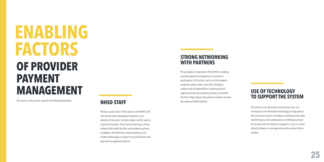**ENABLING FACTORS OF PROVIDER PAYMENT MANAGEMENT** 

The success of the system requires the following attributes. **NHSO STAFF** 

The key success factor in the system is the NHSO staff who demonstrate tremendous dedication and devotion to the work, and who always look for ways to improve the system. They have also built up a strong network with health facilities and academic partners. In addition, the NHSO has made excellent use of modern technology to support its fund allocation and payment management systems.

### **STRONG NETWORKING WITH PARTNERS**

The principles of operations of the NHSO, including provider payment management, are based on participation of all sectors, such as clinical experts, academia, policy makers and CSOs. Building a network with all stakeholders, including clinical experts and relevant academic partners and health facilities, helps improve the payment systems to meet the needs of health facilities.

### **USE OF TECHNOLOGY TO SUPPORT THE SYSTEM**

The UCS has over 48 million beneficiaries. Thus, it is necessary to use information technology to help process the enormous amount of healthcare reimbursement data that the Bureau of Fund Allocation and Reimbursement has to deal with. The electronic programs, such as e-Claim, allow the Bureau to manage and quickly analyze data as needed.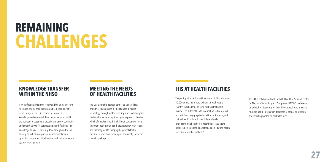## **REMAINING CHALLENGES**

### **KNOWLEDGE TRANSFER WITHIN THE NHSO**

New staff regularly join the NHSO and the Bureau of Fund Allocation and Reimbursement, and some senior staff retire each year. Thus, it is crucial to transfer the knowledge and wisdom of the more experienced staff to the new staff to sustain the capacity and ensure continuity and smooth service for participating health facilities. This knowledge transfer is currently done through on-the-job training as well as using work manuals and standard operating procedures guidelines for fund and information systems management.

### **MEETING THE NEEDS OF HEALTH FACILITIES**

The UCS's benefits package cannot be updated fast enough to keep up with all the changes in health technology throughout the year. Any proposed changes to the benefits package require a rigorous process of review which often takes time. This challenge sometimes limits treatment options that health providers may wish to use, and that may lead to charging the patients for the medicines, procedures or equipment currently not in the benefits package.

### **HIS AT HEALTH FACILITIES**

The participating health facilities in the UCS include over 10,000 public and private facilities throughout the country. The challenge relating to HIS is that health facilities use different health information software which makes it hard to aggregate data at the central level, and staff at health facilities have a different level of understanding about how to record data. Thus, there needs to be a standard data set for all participating health and clinical facilities in the HIS.

The NHSO collaborated with the MOPH and the National Center for Electronic Technology and Computers (NECTEC) to develop a guidebook for data entry for the 43 files as well as to integrate multiple health information databases to reduce duplication and reporting burden on health facilities.